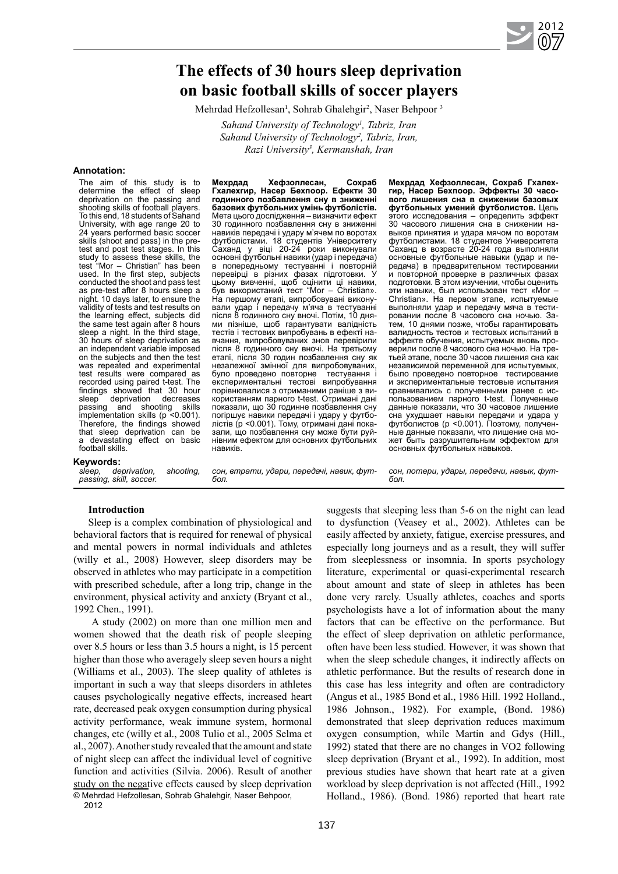# **The effects of 30 hours sleep deprivation on basic football skills of soccer players**

Mehrdad Hefzollesan<sup>1</sup>, Sohrab Ghalehgir<sup>2</sup>, Naser Behpoor<sup>3</sup>

*Sahand University of Technology1 , Tabriz, Iran*  Sahand University of Technology<sup>2</sup>, Tabriz, Iran, *Razi University3 , Kermanshah, Iran*

#### **Аnnotation:**

The aim of this study is to determine the effect of sleep deprivation on the passing and shooting skills of football players. To this end, 18 students of Sahand University, with age range 20 to 24 years performed basic soccer skills (shoot and pass) in the pretest and post test stages. In this study to assess these skills, the test "Mor – Christian" has been used. In the first step, subjects conducted the shoot and pass test as pre-test after 8 hours sleep a night. 10 days later, to ensure the validity of tests and test results on the learning effect, subjects did the same test again after 8 hours sleep a night. In the third stage, 30 hours of sleep deprivation as an independent variable imposed on the subjects and then the test was repeated and experimental test results were compared as recorded using paired t-test. The findings showed that 30 hour<br>sleep deprivation decreases deprivation decreases<br>and shooting skills passing and shooting skills implementation skills (p <0.001). Therefore, the findings showed that sleep deprivation can be a devastating effect on basic football skills.

# **Keywords:**<br>*sleep. de*

*deprivation, shooting, passing, skill, soccer.*

**Мехрдад Хефзоллесан, Сохраб Гхалехгир, Насер Бехпоор. Ефекти 30 годинного позбавлення сну в зниженні базових футбольних умінь футболістів.**  Мета цього дослідження – визначити ефект 30 годинного позбавлення сну в зниженні навиків передачі і удару м'ячем по воротах футболістами. 18 студентів Університету Саханд у віці 20-24 роки виконували основні футбольні навики (удар і передача) в попередньому тестуванні і повторній перевірці в різних фазах підготовки. У цьому вивченні, щоб оцінити ці навики, був використаний тест "Mor – Christian». На першому етапі, випробовувані виконували удар і передачу м'яча в тестуванні після 8 годинного сну вночі. Потім, 10 днями пізніше, щоб гарантувати валідність тестів і тестових випробувань в ефекті навчання, випробовуваних знов перевірили після 8 годинного сну вночі. На третьому етапі, після 30 годин позбавлення сну як незалежної змінної для випробовуваних,<br>було провелено повторне тестування і було проведено повторне експериментальні тестові випробування порівнювалися з отриманими раніше з використанням парного t-test. Отримані дані показали, що 30 годинне позбавлення сну погіршує навики передачі і удару у футболістів (p <0.001). Тому, отримані дані показали, що позбавлення сну може бути руйнівним ефектом для основних футбольних навиків.

**Мехрдад Хефзоллесан, Сохраб Гхалехгир, Насер Бехпоор. Эффекты 30 часового лишения сна в снижении базовых футбольных умений футболистов.** Цель этого исследования – определить эффект 30 часового лишения сна в снижении навыков принятия и удара мячом по воротам футболистами. 18 студентов Университета Саханд в возрасте 20-24 года выполняли основные футбольные навыки (удар и передача) в предварительном тестировании и повторной проверке в различных фазах подготовки. В этом изучении, чтобы оценить навыки, был использован тест «Mor Christian». На первом этапе, испытуемые выполняли удар и передачу мяча в тестировании после 8 часового сна ночью. Затем, 10 днями позже, чтобы гарантировать валидность тестов и тестовых испытаний в эффекте обучения, испытуемых вновь проверили после 8 часового сна ночью. На третьей этапе, после 30 часов лишения сна как независимой переменной для испытуемых, было проведено повторное тестирование и экспериментальные тестовые испытания сравнивались с полученными ранее с использованием парного t-test. Полученные данные показали, что 30 часовое лишение сна ухудшает навыки передачи и удара у футболистов (p <0.001). Поэтому, полученные данные показали, что лишение сна может быть разрушительным эффектом для основных футбольных навыков.

*сон, потери, удары, передачи, навык, фут-*

*бол.*

2012 **07**

*сон, втрати, удари, передачі, навик, футбол.*

## **Introduction**

Sleep is a complex combination of physiological and behavioral factors that is required for renewal of physical and mental powers in normal individuals and athletes (willy et al., 2008) However, sleep disorders may be observed in athletes who may participate in a competition with prescribed schedule, after a long trip, change in the environment, physical activity and anxiety (Bryant et al., 1992 Chen., 1991).

 A study (2002) on more than one million men and women showed that the death risk of people sleeping over 8.5 hours or less than 3.5 hours a night, is 15 percent higher than those who averagely sleep seven hours a night (Williams et al., 2003). The sleep quality of athletes is important in such a way that sleeps disorders in athletes causes psychologically negative effects, increased heart rate, decreased peak oxygen consumption during physical activity performance, weak immune system, hormonal changes, etc (willy et al., 2008 Tulio et al., 2005 Selma et al., 2007). Another study revealed that the amount and state of night sleep can affect the individual level of cognitive function and activities (Silvia. 2006). Result of another study on the negative effects caused by sleep deprivation © Mehrdad Hefzollesan, Sohrab Ghalehgir, Naser Behpoor,

2012

suggests that sleeping less than 5-6 on the night can lead to dysfunction (Veasey et al., 2002). Athletes can be easily affected by anxiety, fatigue, exercise pressures, and especially long journeys and as a result, they will suffer from sleeplessness or insomnia. In sports psychology literature, experimental or quasi-experimental research about amount and state of sleep in athletes has been done very rarely. Usually athletes, coaches and sports psychologists have a lot of information about the many factors that can be effective on the performance. But the effect of sleep deprivation on athletic performance, often have been less studied. However, it was shown that when the sleep schedule changes, it indirectly affects on athletic performance. But the results of research done in this case has less integrity and often are contradictory (Angus et al., 1985 Bond et al., 1986 Hill. 1992 Holland., 1986 Johnson., 1982). For example, (Bond. 1986) demonstrated that sleep deprivation reduces maximum oxygen consumption, while Martin and Gdys (Hill., 1992) stated that there are no changes in VO2 following sleep deprivation (Bryant et al., 1992). In addition, most previous studies have shown that heart rate at a given workload by sleep deprivation is not affected (Hill., 1992 Holland., 1986). (Bond. 1986) reported that heart rate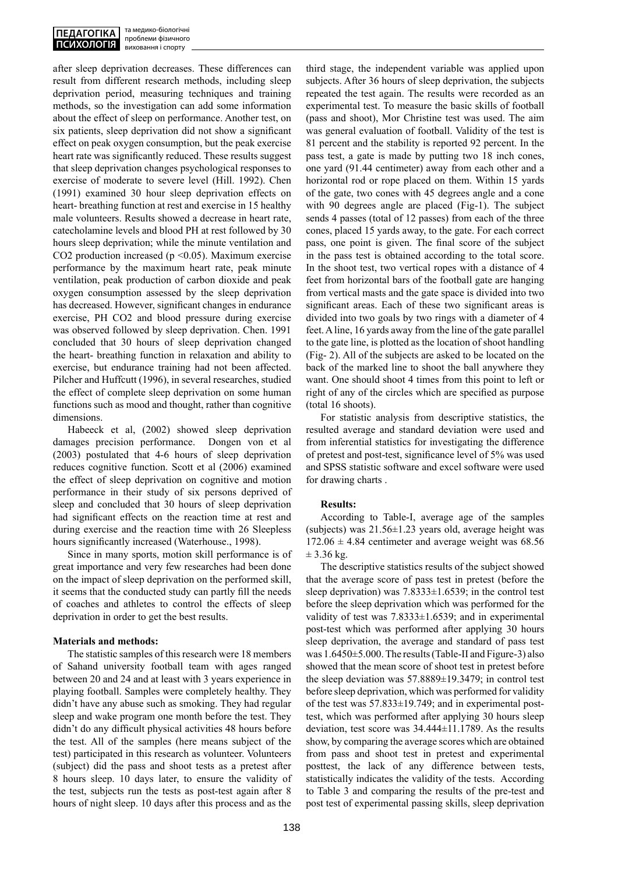after sleep deprivation decreases. These differences can result from different research methods, including sleep deprivation period, measuring techniques and training methods, so the investigation can add some information about the effect of sleep on performance. Another test, on six patients, sleep deprivation did not show a significant effect on peak oxygen consumption, but the peak exercise heart rate was significantly reduced. These results suggest that sleep deprivation changes psychological responses to exercise of moderate to severe level (Hill. 1992). Chen (1991) examined 30 hour sleep deprivation effects on heart- breathing function at rest and exercise in 15 healthy male volunteers. Results showed a decrease in heart rate, catecholamine levels and blood PH at rest followed by 30 hours sleep deprivation; while the minute ventilation and CO2 production increased ( $p \le 0.05$ ). Maximum exercise performance by the maximum heart rate, peak minute ventilation, peak production of carbon dioxide and peak oxygen consumption assessed by the sleep deprivation has decreased. However, significant changes in endurance exercise, PH CO2 and blood pressure during exercise was observed followed by sleep deprivation. Chen. 1991 concluded that 30 hours of sleep deprivation changed the heart- breathing function in relaxation and ability to exercise, but endurance training had not been affected. Pilcher and Huffcutt (1996), in several researches, studied the effect of complete sleep deprivation on some human functions such as mood and thought, rather than cognitive dimensions.

Habeeck et al, (2002) showed sleep deprivation damages precision performance. Dongen von et al (2003) postulated that 4-6 hours of sleep deprivation reduces cognitive function. Scott et al (2006) examined the effect of sleep deprivation on cognitive and motion performance in their study of six persons deprived of sleep and concluded that 30 hours of sleep deprivation had significant effects on the reaction time at rest and during exercise and the reaction time with 26 Sleepless hours significantly increased (Waterhouse., 1998).

Since in many sports, motion skill performance is of great importance and very few researches had been done on the impact of sleep deprivation on the performed skill, it seems that the conducted study can partly fill the needs of coaches and athletes to control the effects of sleep deprivation in order to get the best results.

### **Materials and methods:**

The statistic samples of this research were 18 members of Sahand university football team with ages ranged between 20 and 24 and at least with 3 years experience in playing football. Samples were completely healthy. They didn't have any abuse such as smoking. They had regular sleep and wake program one month before the test. They didn't do any difficult physical activities 48 hours before the test. All of the samples (here means subject of the test) participated in this research as volunteer. Volunteers (subject) did the pass and shoot tests as a pretest after 8 hours sleep. 10 days later, to ensure the validity of the test, subjects run the tests as post-test again after 8 hours of night sleep. 10 days after this process and as the

third stage, the independent variable was applied upon subjects. After 36 hours of sleep deprivation, the subjects repeated the test again. The results were recorded as an experimental test. To measure the basic skills of football (pass and shoot), Mor Christine test was used. The aim was general evaluation of football. Validity of the test is 81 percent and the stability is reported 92 percent. In the pass test, a gate is made by putting two 18 inch cones, one yard (91.44 centimeter) away from each other and a horizontal rod or rope placed on them. Within 15 yards of the gate, two cones with 45 degrees angle and a cone with 90 degrees angle are placed (Fig-1). The subject sends 4 passes (total of 12 passes) from each of the three cones, placed 15 yards away, to the gate. For each correct pass, one point is given. The final score of the subject in the pass test is obtained according to the total score. In the shoot test, two vertical ropes with a distance of 4 feet from horizontal bars of the football gate are hanging from vertical masts and the gate space is divided into two significant areas. Each of these two significant areas is divided into two goals by two rings with a diameter of 4 feet. A line, 16 yards away from the line of the gate parallel to the gate line, is plotted as the location of shoot handling (Fig- 2). All of the subjects are asked to be located on the back of the marked line to shoot the ball anywhere they want. One should shoot 4 times from this point to left or right of any of the circles which are specified as purpose (total 16 shoots).

For statistic analysis from descriptive statistics, the resulted average and standard deviation were used and from inferential statistics for investigating the difference of pretest and post-test, significance level of 5% was used and SPSS statistic software and excel software were used for drawing charts .

### **Results:**

According to Table-I, average age of the samples (subjects) was  $21.56 \pm 1.23$  years old, average height was  $172.06 \pm 4.84$  centimeter and average weight was 68.56  $± 3.36$  kg.

The descriptive statistics results of the subject showed that the average score of pass test in pretest (before the sleep deprivation) was  $7.8333 \pm 1.6539$ ; in the control test before the sleep deprivation which was performed for the validity of test was  $7.8333 \pm 1.6539$ ; and in experimental post-test which was performed after applying 30 hours sleep deprivation, the average and standard of pass test was 1.6450±5.000. The results (Table-II and Figure-3) also showed that the mean score of shoot test in pretest before the sleep deviation was 57.8889±19.3479; in control test before sleep deprivation, which was performed for validity of the test was  $57.833\pm19.749$ ; and in experimental posttest, which was performed after applying 30 hours sleep deviation, test score was 34.444±11.1789. As the results show, by comparing the average scores which are obtained from pass and shoot test in pretest and experimental posttest, the lack of any difference between tests, statistically indicates the validity of the tests. According to Table 3 and comparing the results of the pre-test and post test of experimental passing skills, sleep deprivation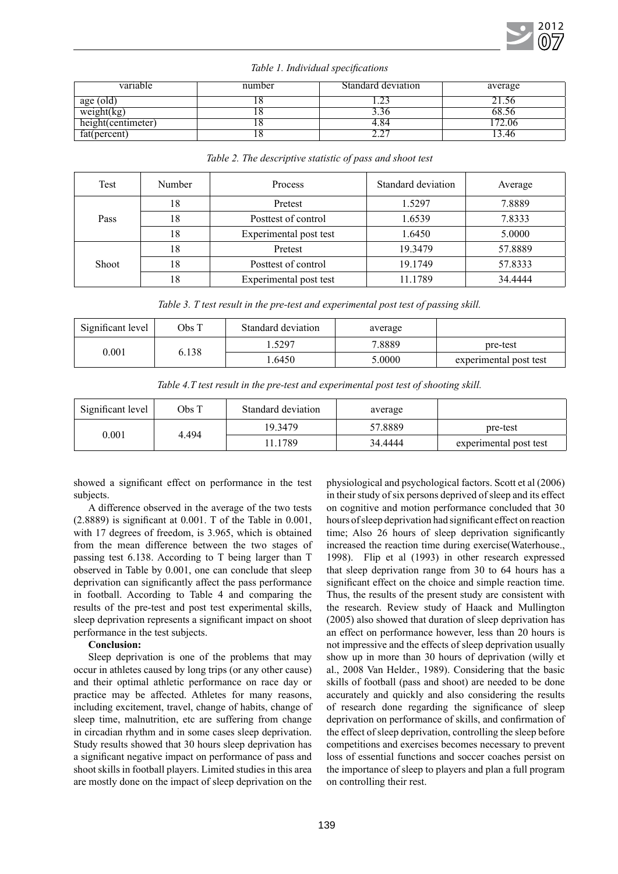

| variable           | number | Standard deviation | average |
|--------------------|--------|--------------------|---------|
| age (old)          | 1 C    |                    |         |
| weight(kg)         | 1 O    |                    | 68.36   |
| height(centimeter) | 1 C    | 4.84               |         |
| fat(percent)       | 1 C    | 4.4                | .46     |

| Table 2. The descriptive statistic of pass and shoot test |               |                        |                    |         |  |  |
|-----------------------------------------------------------|---------------|------------------------|--------------------|---------|--|--|
| Test                                                      | <b>Number</b> | Process                | Standard deviation | Average |  |  |
|                                                           | 18            | Pretest                | 1.5297             | 7.8889  |  |  |
| Pass                                                      | 18            | Posttest of control    | 1.6539             | 7.8333  |  |  |
|                                                           | 18            | Experimental post test | 1.6450             | 5.0000  |  |  |
|                                                           | 18            | Pretest                | 19.3479            | 57.8889 |  |  |
| Shoot                                                     | 18            | Posttest of control    | 19.1749            | 57.8333 |  |  |
|                                                           | 18            | Experimental post test | 11.1789            | 34.4444 |  |  |

### *Table 1. Individual specifications*

|  |  |  | Table 3. T test result in the pre-test and experimental post test of passing skill. |  |  |
|--|--|--|-------------------------------------------------------------------------------------|--|--|
|  |  |  |                                                                                     |  |  |

| Significant level | Obs T | Standard deviation | average |                        |
|-------------------|-------|--------------------|---------|------------------------|
| 0.001             | 6.138 | .5297              | 7.8889  | pre-test               |
|                   |       | 1.6450             | 5.0000  | experimental post test |

|  | Table 4.T test result in the pre-test and experimental post test of shooting skill. |  |  |  |  |
|--|-------------------------------------------------------------------------------------|--|--|--|--|
|--|-------------------------------------------------------------------------------------|--|--|--|--|

| Significant level | Obs T | Standard deviation | average |          |
|-------------------|-------|--------------------|---------|----------|
| $0.001\,$         |       | 19 3479            | 57.8889 | pre-test |
|                   |       | 4.494              | 11.1789 | 34.4444  |

showed a significant effect on performance in the test subjects.

A difference observed in the average of the two tests (2.8889) is significant at 0.001. T of the Table in 0.001, with 17 degrees of freedom, is 3.965, which is obtained from the mean difference between the two stages of passing test 6.138. According to T being larger than T observed in Table by 0.001, one can conclude that sleep deprivation can significantly affect the pass performance in football. According to Table 4 and comparing the results of the pre-test and post test experimental skills, sleep deprivation represents a significant impact on shoot performance in the test subjects.

### **Conclusion:**

Sleep deprivation is one of the problems that may occur in athletes caused by long trips (or any other cause) and their optimal athletic performance on race day or practice may be affected. Athletes for many reasons, including excitement, travel, change of habits, change of sleep time, malnutrition, etc are suffering from change in circadian rhythm and in some cases sleep deprivation. Study results showed that 30 hours sleep deprivation has a significant negative impact on performance of pass and shoot skills in football players. Limited studies in this area are mostly done on the impact of sleep deprivation on the physiological and psychological factors. Scott et al (2006) in their study of six persons deprived of sleep and its effect on cognitive and motion performance concluded that 30 hours of sleep deprivation had significant effect on reaction time; Also 26 hours of sleep deprivation significantly increased the reaction time during exercise(Waterhouse., 1998). Flip et al (1993) in other research expressed that sleep deprivation range from 30 to 64 hours has a significant effect on the choice and simple reaction time. Thus, the results of the present study are consistent with the research. Review study of Haack and Mullington (2005) also showed that duration of sleep deprivation has an effect on performance however, less than 20 hours is not impressive and the effects of sleep deprivation usually show up in more than 30 hours of deprivation (willy et al., 2008 Van Helder., 1989). Considering that the basic skills of football (pass and shoot) are needed to be done accurately and quickly and also considering the results of research done regarding the significance of sleep deprivation on performance of skills, and confirmation of the effect of sleep deprivation, controlling the sleep before competitions and exercises becomes necessary to prevent loss of essential functions and soccer coaches persist on the importance of sleep to players and plan a full program on controlling their rest.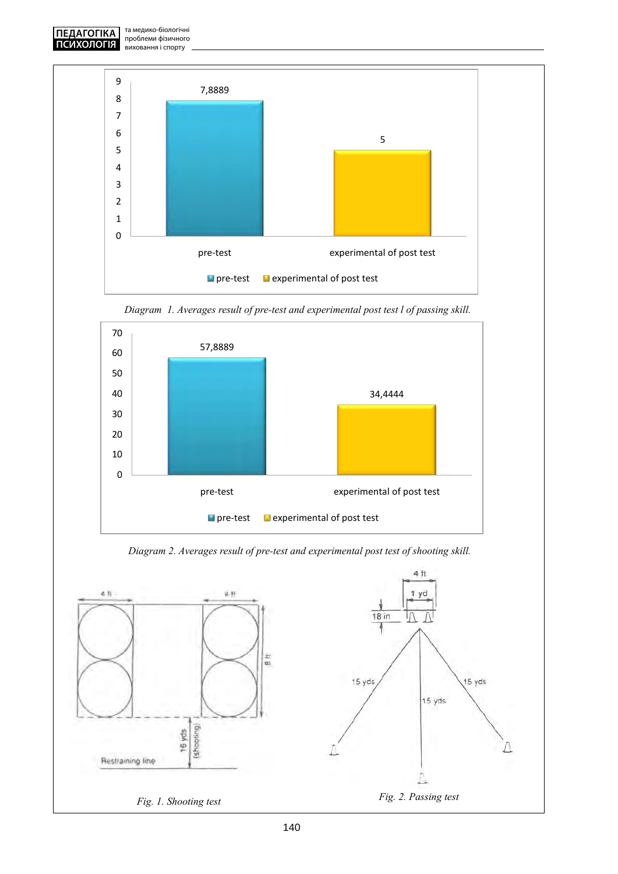



*Diagram 1. Averages result of pre-test and experimental post test l of passing skill.*



*Diagram 2. Averages result of pre-test and experimental post test of shooting skill.*